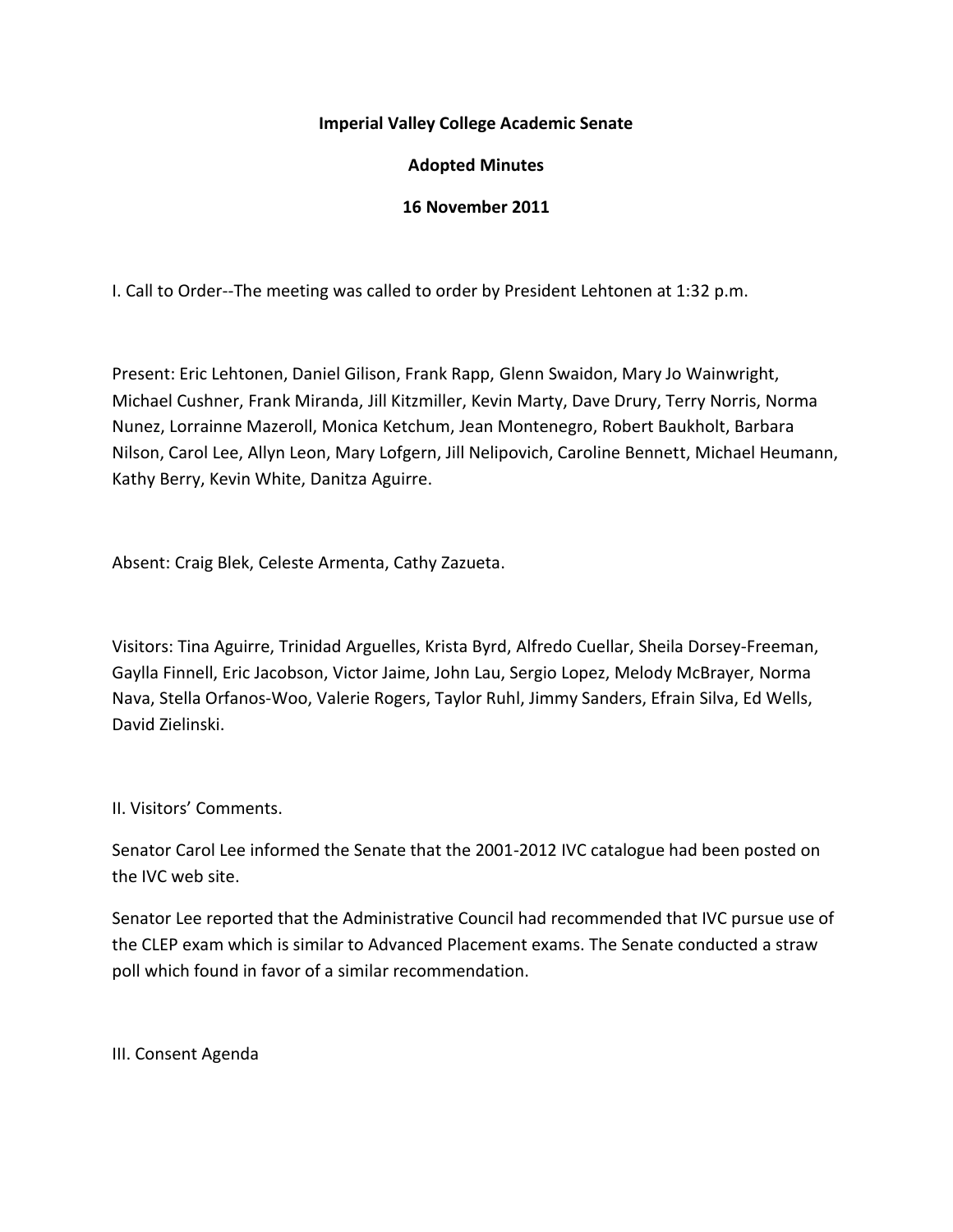# **Imperial Valley College Academic Senate**

# **Adopted Minutes**

## **16 November 2011**

I. Call to Order--The meeting was called to order by President Lehtonen at 1:32 p.m.

Present: Eric Lehtonen, Daniel Gilison, Frank Rapp, Glenn Swaidon, Mary Jo Wainwright, Michael Cushner, Frank Miranda, Jill Kitzmiller, Kevin Marty, Dave Drury, Terry Norris, Norma Nunez, Lorrainne Mazeroll, Monica Ketchum, Jean Montenegro, Robert Baukholt, Barbara Nilson, Carol Lee, Allyn Leon, Mary Lofgern, Jill Nelipovich, Caroline Bennett, Michael Heumann, Kathy Berry, Kevin White, Danitza Aguirre.

Absent: Craig Blek, Celeste Armenta, Cathy Zazueta.

Visitors: Tina Aguirre, Trinidad Arguelles, Krista Byrd, Alfredo Cuellar, Sheila Dorsey-Freeman, Gaylla Finnell, Eric Jacobson, Victor Jaime, John Lau, Sergio Lopez, Melody McBrayer, Norma Nava, Stella Orfanos-Woo, Valerie Rogers, Taylor Ruhl, Jimmy Sanders, Efrain Silva, Ed Wells, David Zielinski.

II. Visitors' Comments.

Senator Carol Lee informed the Senate that the 2001-2012 IVC catalogue had been posted on the IVC web site.

Senator Lee reported that the Administrative Council had recommended that IVC pursue use of the CLEP exam which is similar to Advanced Placement exams. The Senate conducted a straw poll which found in favor of a similar recommendation.

III. Consent Agenda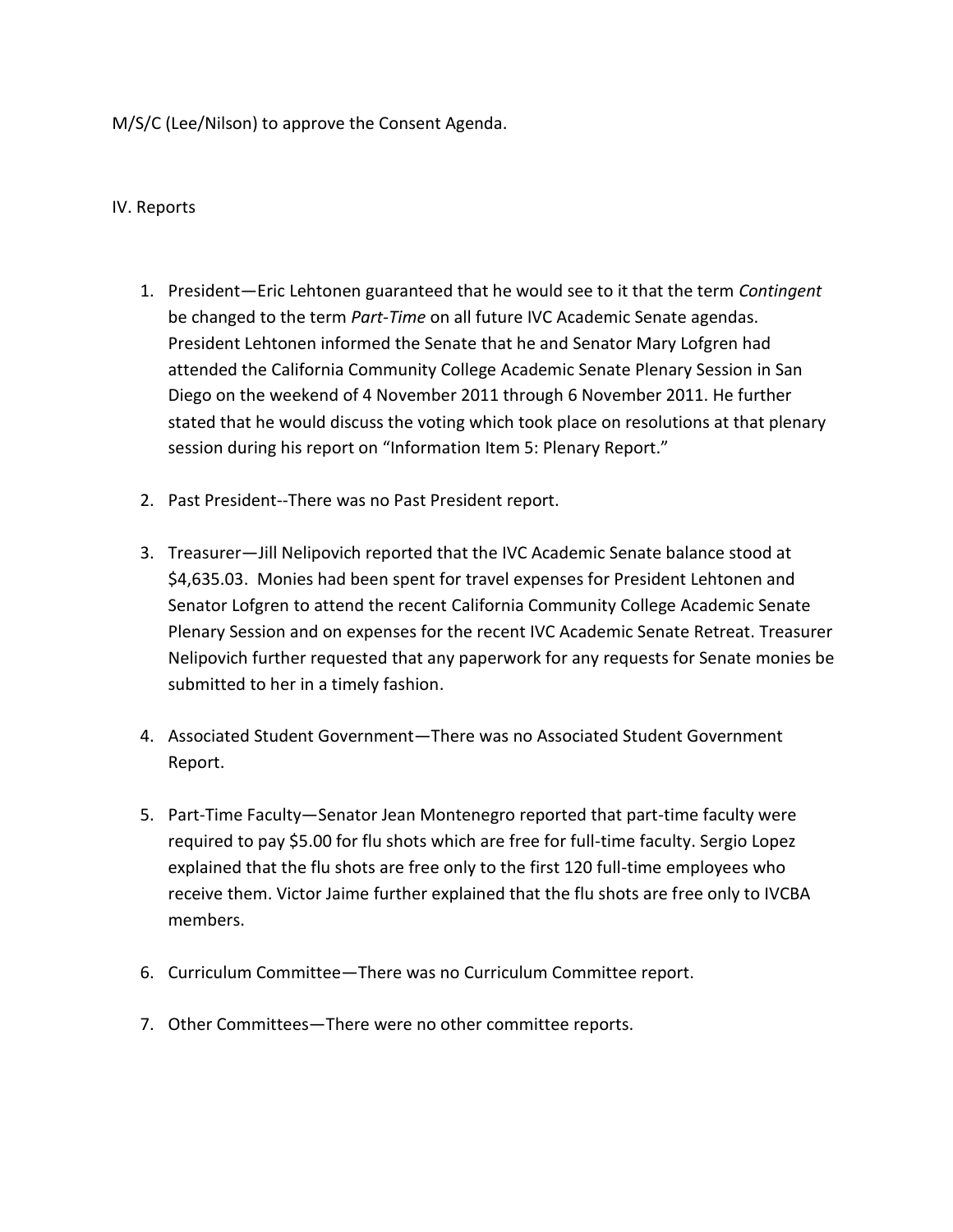M/S/C (Lee/Nilson) to approve the Consent Agenda.

#### IV. Reports

- 1. President—Eric Lehtonen guaranteed that he would see to it that the term *Contingent* be changed to the term *Part-Time* on all future IVC Academic Senate agendas. President Lehtonen informed the Senate that he and Senator Mary Lofgren had attended the California Community College Academic Senate Plenary Session in San Diego on the weekend of 4 November 2011 through 6 November 2011. He further stated that he would discuss the voting which took place on resolutions at that plenary session during his report on "Information Item 5: Plenary Report."
- 2. Past President--There was no Past President report.
- 3. Treasurer—Jill Nelipovich reported that the IVC Academic Senate balance stood at \$4,635.03. Monies had been spent for travel expenses for President Lehtonen and Senator Lofgren to attend the recent California Community College Academic Senate Plenary Session and on expenses for the recent IVC Academic Senate Retreat. Treasurer Nelipovich further requested that any paperwork for any requests for Senate monies be submitted to her in a timely fashion.
- 4. Associated Student Government—There was no Associated Student Government Report.
- 5. Part-Time Faculty—Senator Jean Montenegro reported that part-time faculty were required to pay \$5.00 for flu shots which are free for full-time faculty. Sergio Lopez explained that the flu shots are free only to the first 120 full-time employees who receive them. Victor Jaime further explained that the flu shots are free only to IVCBA members.
- 6. Curriculum Committee—There was no Curriculum Committee report.
- 7. Other Committees—There were no other committee reports.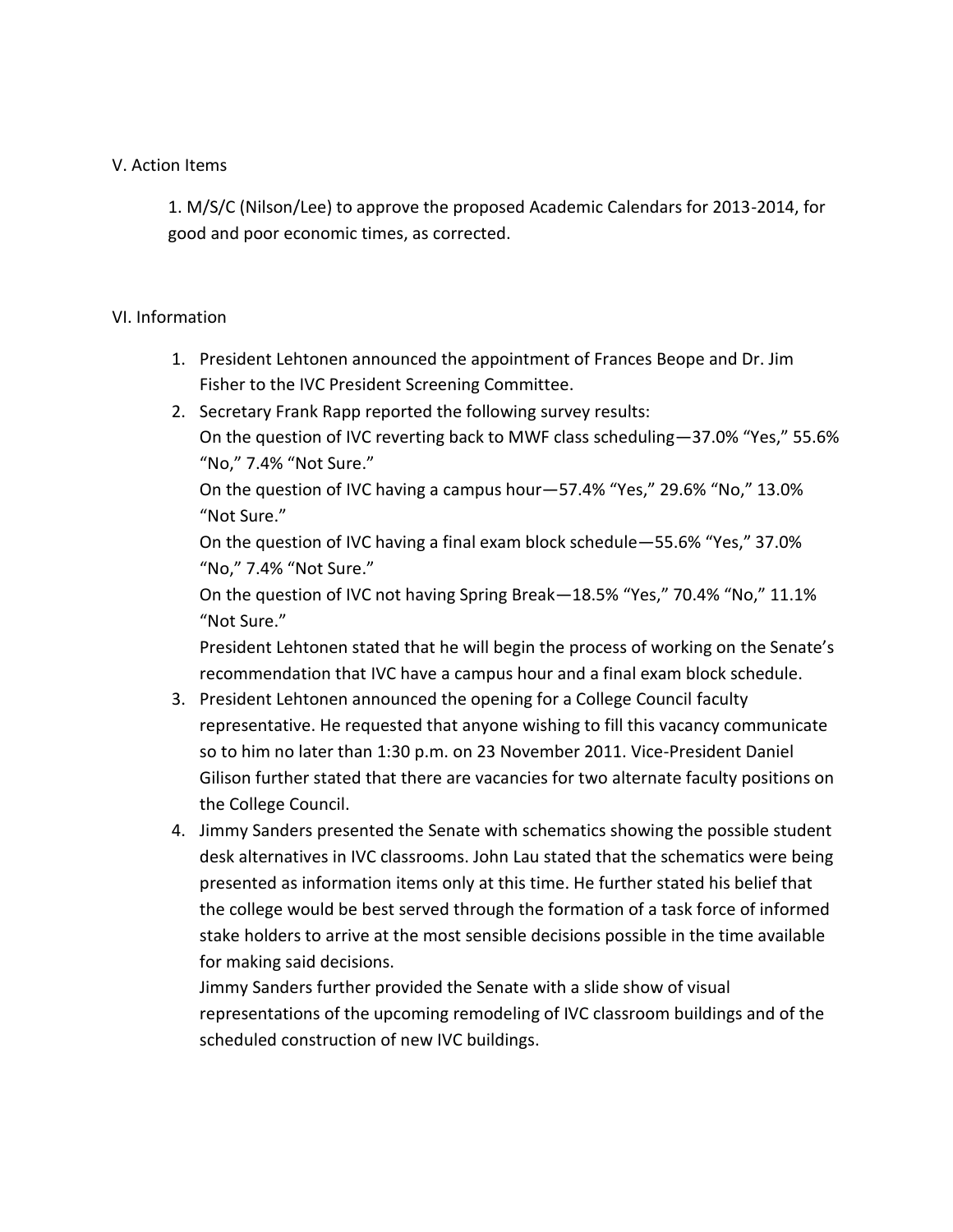## V. Action Items

1. M/S/C (Nilson/Lee) to approve the proposed Academic Calendars for 2013-2014, for good and poor economic times, as corrected.

# VI. Information

- 1. President Lehtonen announced the appointment of Frances Beope and Dr. Jim Fisher to the IVC President Screening Committee.
- 2. Secretary Frank Rapp reported the following survey results: On the question of IVC reverting back to MWF class scheduling—37.0% "Yes," 55.6% "No," 7.4% "Not Sure."

On the question of IVC having a campus hour—57.4% "Yes," 29.6% "No," 13.0% "Not Sure."

On the question of IVC having a final exam block schedule—55.6% "Yes," 37.0% "No," 7.4% "Not Sure."

On the question of IVC not having Spring Break—18.5% "Yes," 70.4% "No," 11.1% "Not Sure."

President Lehtonen stated that he will begin the process of working on the Senate's recommendation that IVC have a campus hour and a final exam block schedule.

- 3. President Lehtonen announced the opening for a College Council faculty representative. He requested that anyone wishing to fill this vacancy communicate so to him no later than 1:30 p.m. on 23 November 2011. Vice-President Daniel Gilison further stated that there are vacancies for two alternate faculty positions on the College Council.
- 4. Jimmy Sanders presented the Senate with schematics showing the possible student desk alternatives in IVC classrooms. John Lau stated that the schematics were being presented as information items only at this time. He further stated his belief that the college would be best served through the formation of a task force of informed stake holders to arrive at the most sensible decisions possible in the time available for making said decisions.

Jimmy Sanders further provided the Senate with a slide show of visual representations of the upcoming remodeling of IVC classroom buildings and of the scheduled construction of new IVC buildings.